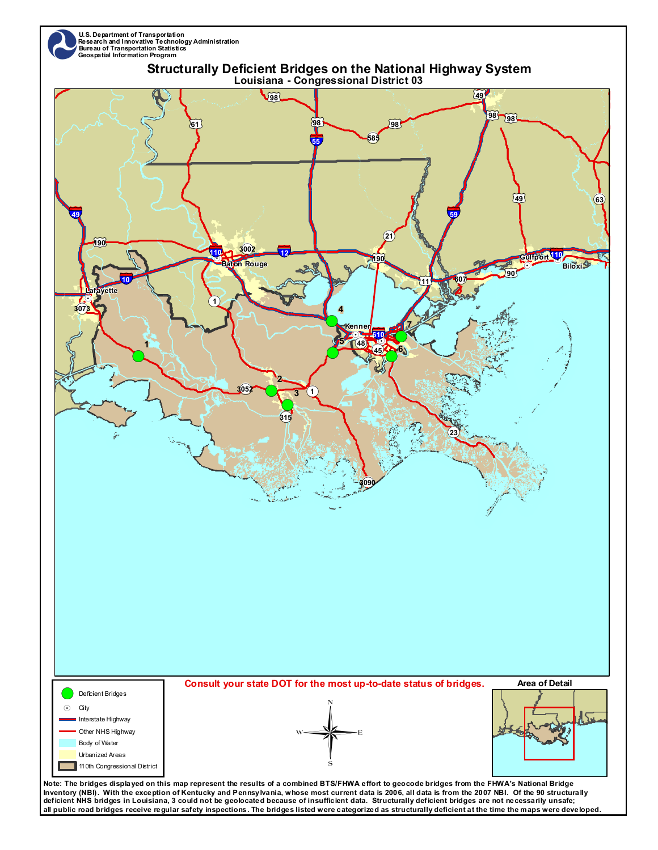